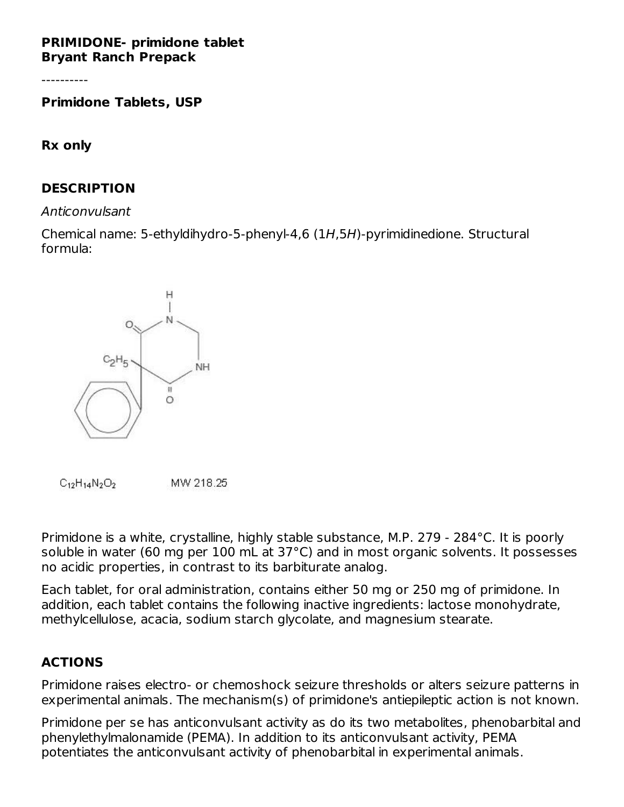#### **PRIMIDONE- primidone tablet Bryant Ranch Prepack**

----------

**Primidone Tablets, USP**

**Rx only**

#### **DESCRIPTION**

Anticonvulsant

Chemical name: 5-ethyldihydro-5-phenyl-4,6 (1H,5H)-pyrimidinedione. Structural formula:



 $C_{12}H_{14}N_2O_2$ MW 218.25

Primidone is a white, crystalline, highly stable substance, M.P. 279 - 284°C. It is poorly soluble in water (60 mg per 100 mL at 37°C) and in most organic solvents. It possesses no acidic properties, in contrast to its barbiturate analog.

Each tablet, for oral administration, contains either 50 mg or 250 mg of primidone. In addition, each tablet contains the following inactive ingredients: lactose monohydrate, methylcellulose, acacia, sodium starch glycolate, and magnesium stearate.

# **ACTIONS**

Primidone raises electro- or chemoshock seizure thresholds or alters seizure patterns in experimental animals. The mechanism(s) of primidone's antiepileptic action is not known.

Primidone per se has anticonvulsant activity as do its two metabolites, phenobarbital and phenylethylmalonamide (PEMA). In addition to its anticonvulsant activity, PEMA potentiates the anticonvulsant activity of phenobarbital in experimental animals.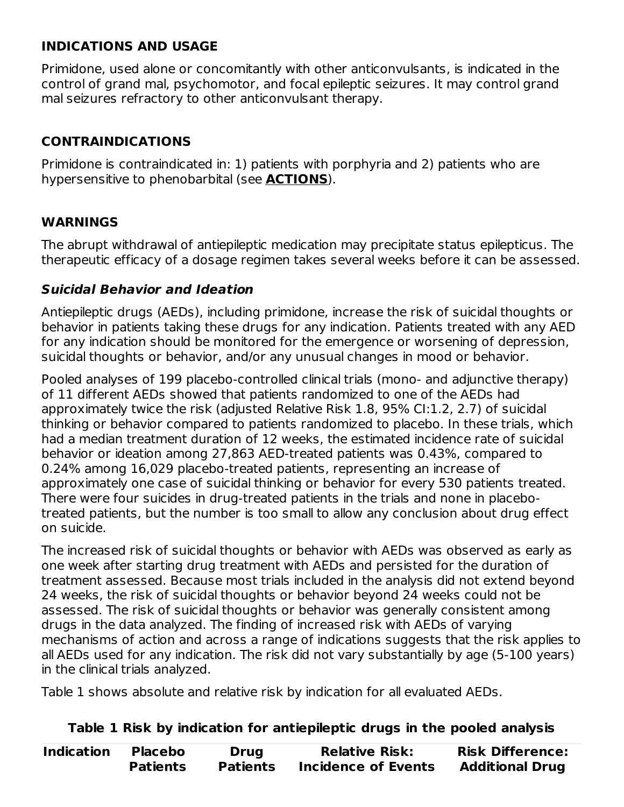# **INDICATIONS AND USAGE**

Primidone, used alone or concomitantly with other anticonvulsants, is indicated in the control of grand mal, psychomotor, and focal epileptic seizures. It may control grand mal seizures refractory to other anticonvulsant therapy.

# **CONTRAINDICATIONS**

Primidone is contraindicated in: 1) patients with porphyria and 2) patients who are hypersensitive to phenobarbital (see **ACTIONS**).

# **WARNINGS**

The abrupt withdrawal of antiepileptic medication may precipitate status epilepticus. The therapeutic efficacy of a dosage regimen takes several weeks before it can be assessed.

# **Suicidal Behavior and Ideation**

Antiepileptic drugs (AEDs), including primidone, increase the risk of suicidal thoughts or behavior in patients taking these drugs for any indication. Patients treated with any AED for any indication should be monitored for the emergence or worsening of depression, suicidal thoughts or behavior, and/or any unusual changes in mood or behavior.

Pooled analyses of 199 placebo-controlled clinical trials (mono- and adjunctive therapy) of 11 different AEDs showed that patients randomized to one of the AEDs had approximately twice the risk (adjusted Relative Risk 1.8, 95% CI:1.2, 2.7) of suicidal thinking or behavior compared to patients randomized to placebo. In these trials, which had a median treatment duration of 12 weeks, the estimated incidence rate of suicidal behavior or ideation among 27,863 AED-treated patients was 0.43%, compared to 0.24% among 16,029 placebo-treated patients, representing an increase of approximately one case of suicidal thinking or behavior for every 530 patients treated. There were four suicides in drug-treated patients in the trials and none in placebotreated patients, but the number is too small to allow any conclusion about drug effect on suicide.

The increased risk of suicidal thoughts or behavior with AEDs was observed as early as one week after starting drug treatment with AEDs and persisted for the duration of treatment assessed. Because most trials included in the analysis did not extend beyond 24 weeks, the risk of suicidal thoughts or behavior beyond 24 weeks could not be assessed. The risk of suicidal thoughts or behavior was generally consistent among drugs in the data analyzed. The finding of increased risk with AEDs of varying mechanisms of action and across a range of indications suggests that the risk applies to all AEDs used for any indication. The risk did not vary substantially by age (5-100 years) in the clinical trials analyzed.

Table 1 shows absolute and relative risk by indication for all evaluated AEDs.

# **Table 1 Risk by indication for antiepileptic drugs in the pooled analysis**

| <b>Indication</b> | <b>Placebo</b>  | <b>Drug</b>     | <b>Relative Risk:</b>      | <b>Risk Difference:</b> |  |
|-------------------|-----------------|-----------------|----------------------------|-------------------------|--|
|                   | <b>Patients</b> | <b>Patients</b> | <b>Incidence of Events</b> | <b>Additional Drug</b>  |  |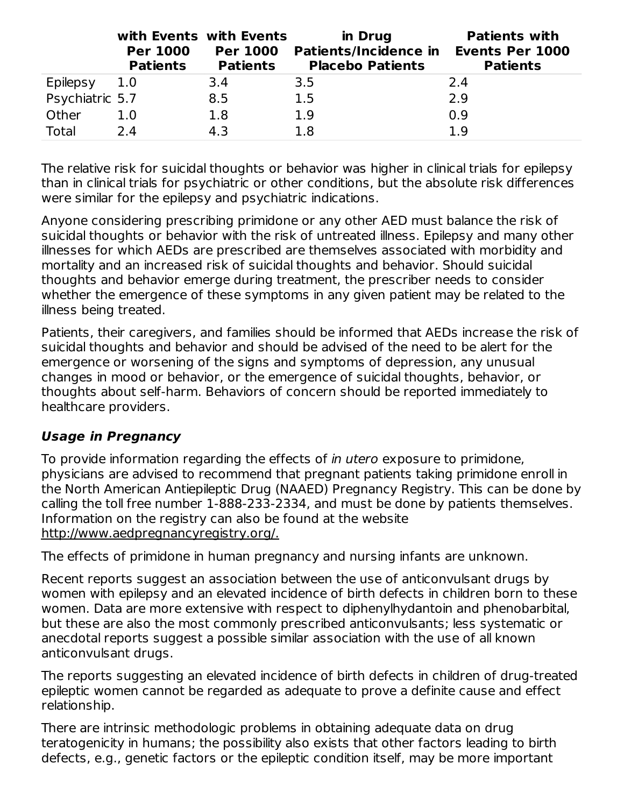|                 | with Events with Events<br><b>Per 1000</b><br><b>Patients</b> | <b>Per 1000</b><br><b>Patients</b> | in Drug<br>Patients/Incidence in<br><b>Placebo Patients</b> | <b>Patients with</b><br><b>Events Per 1000</b><br><b>Patients</b> |
|-----------------|---------------------------------------------------------------|------------------------------------|-------------------------------------------------------------|-------------------------------------------------------------------|
| Epilepsy        | 1.0                                                           | 3.4                                | 3.5                                                         | 2.4                                                               |
| Psychiatric 5.7 |                                                               | 8.5                                | 1.5                                                         | 2.9                                                               |
| Other           | 1.0                                                           | 1.8                                | 1.9                                                         | 0.9                                                               |
| Total           | 2.4                                                           | 4.3                                | 1.8                                                         | 1.9                                                               |

The relative risk for suicidal thoughts or behavior was higher in clinical trials for epilepsy than in clinical trials for psychiatric or other conditions, but the absolute risk differences were similar for the epilepsy and psychiatric indications.

Anyone considering prescribing primidone or any other AED must balance the risk of suicidal thoughts or behavior with the risk of untreated illness. Epilepsy and many other illnesses for which AEDs are prescribed are themselves associated with morbidity and mortality and an increased risk of suicidal thoughts and behavior. Should suicidal thoughts and behavior emerge during treatment, the prescriber needs to consider whether the emergence of these symptoms in any given patient may be related to the illness being treated.

Patients, their caregivers, and families should be informed that AEDs increase the risk of suicidal thoughts and behavior and should be advised of the need to be alert for the emergence or worsening of the signs and symptoms of depression, any unusual changes in mood or behavior, or the emergence of suicidal thoughts, behavior, or thoughts about self-harm. Behaviors of concern should be reported immediately to healthcare providers.

# **Usage in Pregnancy**

To provide information regarding the effects of in utero exposure to primidone, physicians are advised to recommend that pregnant patients taking primidone enroll in the North American Antiepileptic Drug (NAAED) Pregnancy Registry. This can be done by calling the toll free number 1-888-233-2334, and must be done by patients themselves. Information on the registry can also be found at the website http://www.aedpregnancyregistry.org/.

The effects of primidone in human pregnancy and nursing infants are unknown.

Recent reports suggest an association between the use of anticonvulsant drugs by women with epilepsy and an elevated incidence of birth defects in children born to these women. Data are more extensive with respect to diphenylhydantoin and phenobarbital, but these are also the most commonly prescribed anticonvulsants; less systematic or anecdotal reports suggest a possible similar association with the use of all known anticonvulsant drugs.

The reports suggesting an elevated incidence of birth defects in children of drug-treated epileptic women cannot be regarded as adequate to prove a definite cause and effect relationship.

There are intrinsic methodologic problems in obtaining adequate data on drug teratogenicity in humans; the possibility also exists that other factors leading to birth defects, e.g., genetic factors or the epileptic condition itself, may be more important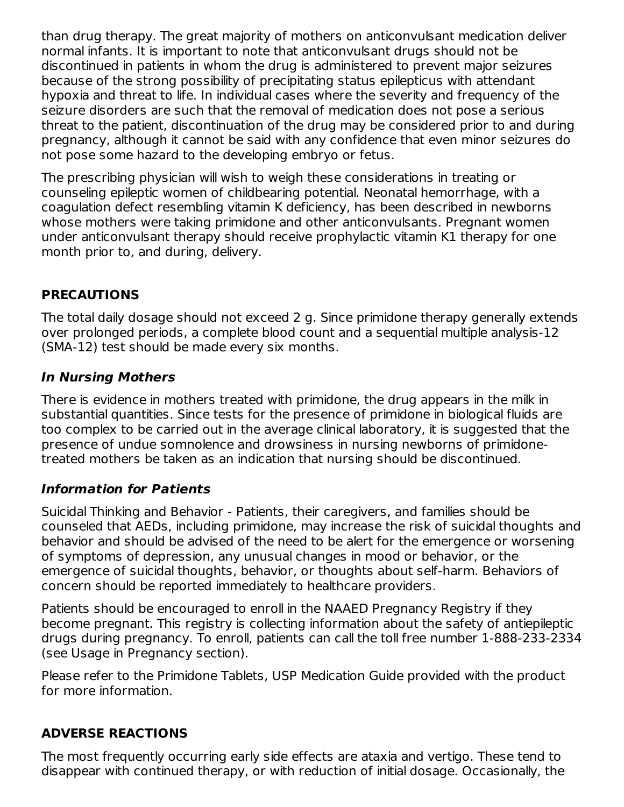than drug therapy. The great majority of mothers on anticonvulsant medication deliver normal infants. It is important to note that anticonvulsant drugs should not be discontinued in patients in whom the drug is administered to prevent major seizures because of the strong possibility of precipitating status epilepticus with attendant hypoxia and threat to life. In individual cases where the severity and frequency of the seizure disorders are such that the removal of medication does not pose a serious threat to the patient, discontinuation of the drug may be considered prior to and during pregnancy, although it cannot be said with any confidence that even minor seizures do not pose some hazard to the developing embryo or fetus.

The prescribing physician will wish to weigh these considerations in treating or counseling epileptic women of childbearing potential. Neonatal hemorrhage, with a coagulation defect resembling vitamin K deficiency, has been described in newborns whose mothers were taking primidone and other anticonvulsants. Pregnant women under anticonvulsant therapy should receive prophylactic vitamin K1 therapy for one month prior to, and during, delivery.

### **PRECAUTIONS**

The total daily dosage should not exceed 2 g. Since primidone therapy generally extends over prolonged periods, a complete blood count and a sequential multiple analysis-12 (SMA-12) test should be made every six months.

#### **In Nursing Mothers**

There is evidence in mothers treated with primidone, the drug appears in the milk in substantial quantities. Since tests for the presence of primidone in biological fluids are too complex to be carried out in the average clinical laboratory, it is suggested that the presence of undue somnolence and drowsiness in nursing newborns of primidonetreated mothers be taken as an indication that nursing should be discontinued.

#### **Information for Patients**

Suicidal Thinking and Behavior - Patients, their caregivers, and families should be counseled that AEDs, including primidone, may increase the risk of suicidal thoughts and behavior and should be advised of the need to be alert for the emergence or worsening of symptoms of depression, any unusual changes in mood or behavior, or the emergence of suicidal thoughts, behavior, or thoughts about self-harm. Behaviors of concern should be reported immediately to healthcare providers.

Patients should be encouraged to enroll in the NAAED Pregnancy Registry if they become pregnant. This registry is collecting information about the safety of antiepileptic drugs during pregnancy. To enroll, patients can call the toll free number 1-888-233-2334 (see Usage in Pregnancy section).

Please refer to the Primidone Tablets, USP Medication Guide provided with the product for more information.

# **ADVERSE REACTIONS**

The most frequently occurring early side effects are ataxia and vertigo. These tend to disappear with continued therapy, or with reduction of initial dosage. Occasionally, the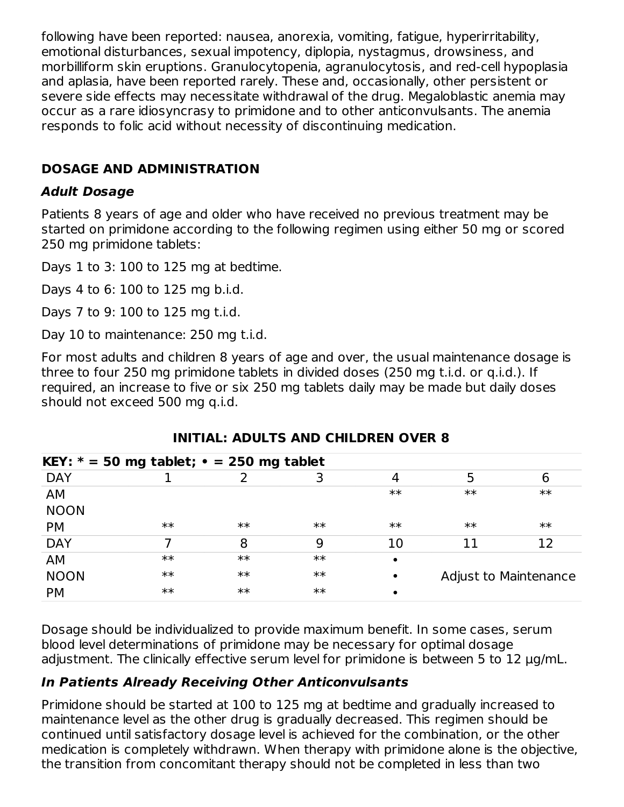following have been reported: nausea, anorexia, vomiting, fatigue, hyperirritability, emotional disturbances, sexual impotency, diplopia, nystagmus, drowsiness, and morbilliform skin eruptions. Granulocytopenia, agranulocytosis, and red-cell hypoplasia and aplasia, have been reported rarely. These and, occasionally, other persistent or severe side effects may necessitate withdrawal of the drug. Megaloblastic anemia may occur as a rare idiosyncrasy to primidone and to other anticonvulsants. The anemia responds to folic acid without necessity of discontinuing medication.

# **DOSAGE AND ADMINISTRATION**

#### **Adult Dosage**

Patients 8 years of age and older who have received no previous treatment may be started on primidone according to the following regimen using either 50 mg or scored 250 mg primidone tablets:

Days 1 to 3: 100 to 125 mg at bedtime.

Days 4 to 6: 100 to 125 mg b.i.d.

Days 7 to 9: 100 to 125 mg t.i.d.

Day 10 to maintenance: 250 mg t.i.d.

For most adults and children 8 years of age and over, the usual maintenance dosage is three to four 250 mg primidone tablets in divided doses (250 mg t.i.d. or q.i.d.). If required, an increase to five or six 250 mg tablets daily may be made but daily doses should not exceed 500 mg q.i.d.

| KEY: $* = 50$ mg tablet; $\cdot = 250$ mg tablet |      |      |      |           |      |                              |  |
|--------------------------------------------------|------|------|------|-----------|------|------------------------------|--|
| <b>DAY</b>                                       |      |      |      |           |      | 6                            |  |
| AM                                               |      |      |      | $**$      | $**$ | $**$                         |  |
| <b>NOON</b>                                      |      |      |      |           |      |                              |  |
| PM                                               | $**$ | $**$ | $**$ | $**$      | $**$ | $**$                         |  |
| <b>DAY</b>                                       |      | 8    | 9    | 10        |      | 12                           |  |
| AM                                               | $**$ | $**$ | $**$ | $\bullet$ |      |                              |  |
| <b>NOON</b>                                      | $**$ | $**$ | $**$ | $\bullet$ |      | <b>Adjust to Maintenance</b> |  |
| PM                                               | $**$ | $**$ | $**$ | $\bullet$ |      |                              |  |

# **INITIAL: ADULTS AND CHILDREN OVER 8**

Dosage should be individualized to provide maximum benefit. In some cases, serum blood level determinations of primidone may be necessary for optimal dosage adjustment. The clinically effective serum level for primidone is between 5 to 12 μg/mL.

# **In Patients Already Receiving Other Anticonvulsants**

Primidone should be started at 100 to 125 mg at bedtime and gradually increased to maintenance level as the other drug is gradually decreased. This regimen should be continued until satisfactory dosage level is achieved for the combination, or the other medication is completely withdrawn. When therapy with primidone alone is the objective, the transition from concomitant therapy should not be completed in less than two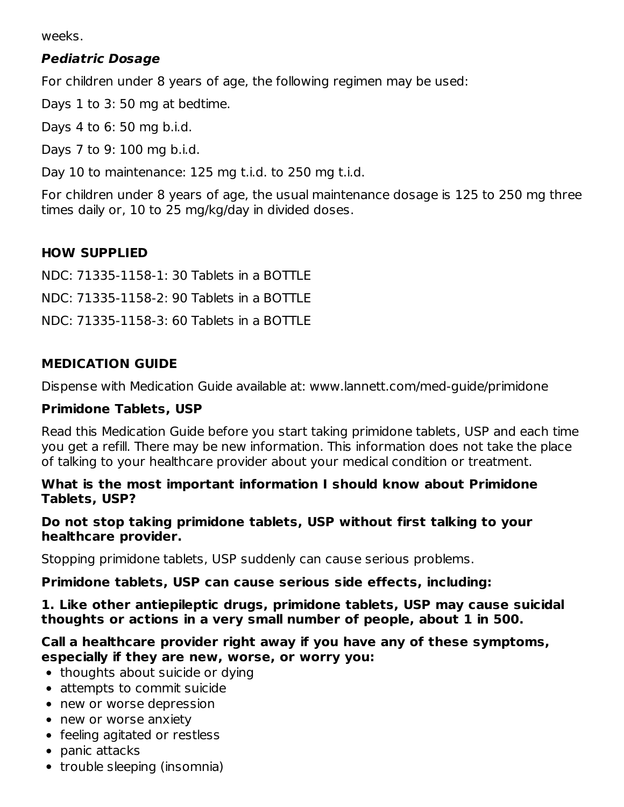weeks.

#### **Pediatric Dosage**

For children under 8 years of age, the following regimen may be used:

Days 1 to 3: 50 mg at bedtime.

Days 4 to 6: 50 mg b.i.d.

Days 7 to 9: 100 mg b.i.d.

Day 10 to maintenance: 125 mg t.i.d. to 250 mg t.i.d.

For children under 8 years of age, the usual maintenance dosage is 125 to 250 mg three times daily or, 10 to 25 mg/kg/day in divided doses.

# **HOW SUPPLIED**

NDC: 71335-1158-1: 30 Tablets in a BOTTLE NDC: 71335-1158-2: 90 Tablets in a BOTTLE NDC: 71335-1158-3: 60 Tablets in a BOTTLE

# **MEDICATION GUIDE**

Dispense with Medication Guide available at: www.lannett.com/med-guide/primidone

#### **Primidone Tablets, USP**

Read this Medication Guide before you start taking primidone tablets, USP and each time you get a refill. There may be new information. This information does not take the place of talking to your healthcare provider about your medical condition or treatment.

#### **What is the most important information I should know about Primidone Tablets, USP?**

#### **Do not stop taking primidone tablets, USP without first talking to your healthcare provider.**

Stopping primidone tablets, USP suddenly can cause serious problems.

#### **Primidone tablets, USP can cause serious side effects, including:**

#### **1. Like other antiepileptic drugs, primidone tablets, USP may cause suicidal thoughts or actions in a very small number of people, about 1 in 500.**

### **Call a healthcare provider right away if you have any of these symptoms, especially if they are new, worse, or worry you:**

- thoughts about suicide or dying
- attempts to commit suicide
- new or worse depression
- new or worse anxiety
- feeling agitated or restless
- panic attacks
- trouble sleeping (insomnia)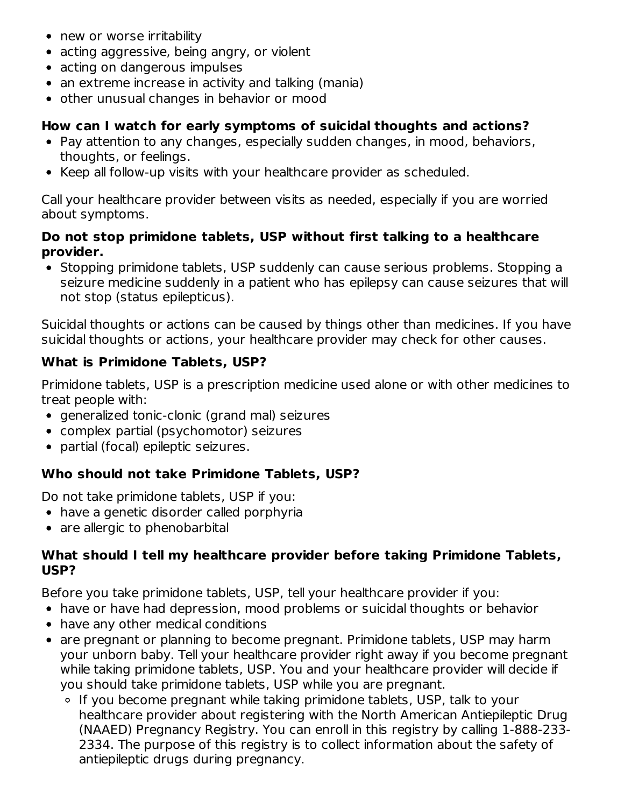- new or worse irritability
- acting aggressive, being angry, or violent
- acting on dangerous impulses
- an extreme increase in activity and talking (mania)
- other unusual changes in behavior or mood

# **How can I watch for early symptoms of suicidal thoughts and actions?**

- Pay attention to any changes, especially sudden changes, in mood, behaviors, thoughts, or feelings.
- Keep all follow-up visits with your healthcare provider as scheduled.

Call your healthcare provider between visits as needed, especially if you are worried about symptoms.

### **Do not stop primidone tablets, USP without first talking to a healthcare provider.**

• Stopping primidone tablets, USP suddenly can cause serious problems. Stopping a seizure medicine suddenly in a patient who has epilepsy can cause seizures that will not stop (status epilepticus).

Suicidal thoughts or actions can be caused by things other than medicines. If you have suicidal thoughts or actions, your healthcare provider may check for other causes.

# **What is Primidone Tablets, USP?**

Primidone tablets, USP is a prescription medicine used alone or with other medicines to treat people with:

- generalized tonic-clonic (grand mal) seizures
- complex partial (psychomotor) seizures
- partial (focal) epileptic seizures.

# **Who should not take Primidone Tablets, USP?**

Do not take primidone tablets, USP if you:

- have a genetic disorder called porphyria
- are allergic to phenobarbital

#### **What should I tell my healthcare provider before taking Primidone Tablets, USP?**

Before you take primidone tablets, USP, tell your healthcare provider if you:

- have or have had depression, mood problems or suicidal thoughts or behavior
- have any other medical conditions
- are pregnant or planning to become pregnant. Primidone tablets, USP may harm your unborn baby. Tell your healthcare provider right away if you become pregnant while taking primidone tablets, USP. You and your healthcare provider will decide if you should take primidone tablets, USP while you are pregnant.
	- If you become pregnant while taking primidone tablets, USP, talk to your healthcare provider about registering with the North American Antiepileptic Drug (NAAED) Pregnancy Registry. You can enroll in this registry by calling 1-888-233- 2334. The purpose of this registry is to collect information about the safety of antiepileptic drugs during pregnancy.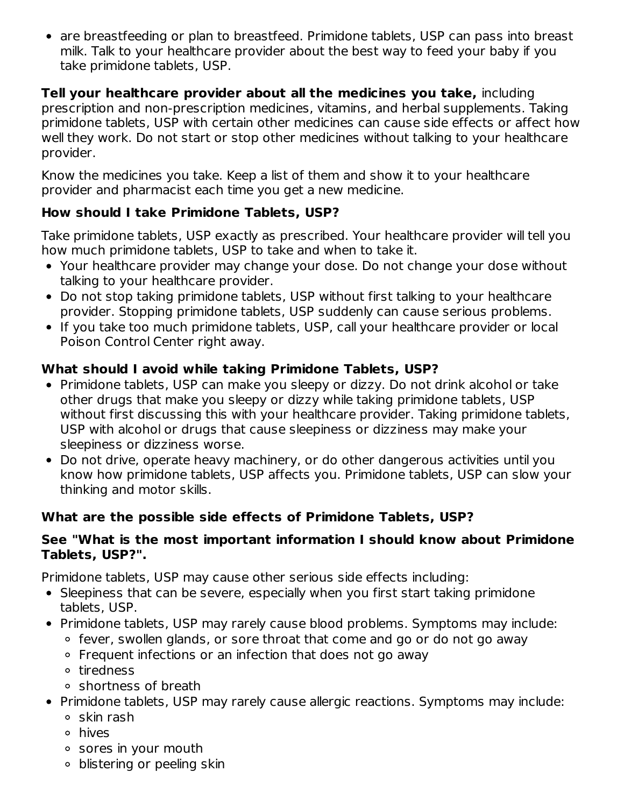are breastfeeding or plan to breastfeed. Primidone tablets, USP can pass into breast milk. Talk to your healthcare provider about the best way to feed your baby if you take primidone tablets, USP.

#### **Tell your healthcare provider about all the medicines you take,** including

prescription and non-prescription medicines, vitamins, and herbal supplements. Taking primidone tablets, USP with certain other medicines can cause side effects or affect how well they work. Do not start or stop other medicines without talking to your healthcare provider.

Know the medicines you take. Keep a list of them and show it to your healthcare provider and pharmacist each time you get a new medicine.

#### **How should I take Primidone Tablets, USP?**

Take primidone tablets, USP exactly as prescribed. Your healthcare provider will tell you how much primidone tablets, USP to take and when to take it.

- Your healthcare provider may change your dose. Do not change your dose without talking to your healthcare provider.
- Do not stop taking primidone tablets, USP without first talking to your healthcare provider. Stopping primidone tablets, USP suddenly can cause serious problems.
- If you take too much primidone tablets, USP, call your healthcare provider or local Poison Control Center right away.

### **What should I avoid while taking Primidone Tablets, USP?**

- Primidone tablets, USP can make you sleepy or dizzy. Do not drink alcohol or take other drugs that make you sleepy or dizzy while taking primidone tablets, USP without first discussing this with your healthcare provider. Taking primidone tablets, USP with alcohol or drugs that cause sleepiness or dizziness may make your sleepiness or dizziness worse.
- Do not drive, operate heavy machinery, or do other dangerous activities until you know how primidone tablets, USP affects you. Primidone tablets, USP can slow your thinking and motor skills.

#### **What are the possible side effects of Primidone Tablets, USP?**

#### **See "What is the most important information I should know about Primidone Tablets, USP?".**

Primidone tablets, USP may cause other serious side effects including:

- Sleepiness that can be severe, especially when you first start taking primidone tablets, USP.
- Primidone tablets, USP may rarely cause blood problems. Symptoms may include:
	- fever, swollen glands, or sore throat that come and go or do not go away
	- Frequent infections or an infection that does not go away
	- tiredness
	- shortness of breath
- Primidone tablets, USP may rarely cause allergic reactions. Symptoms may include:
	- $\circ$  skin rash
	- hives
	- sores in your mouth
	- blistering or peeling skin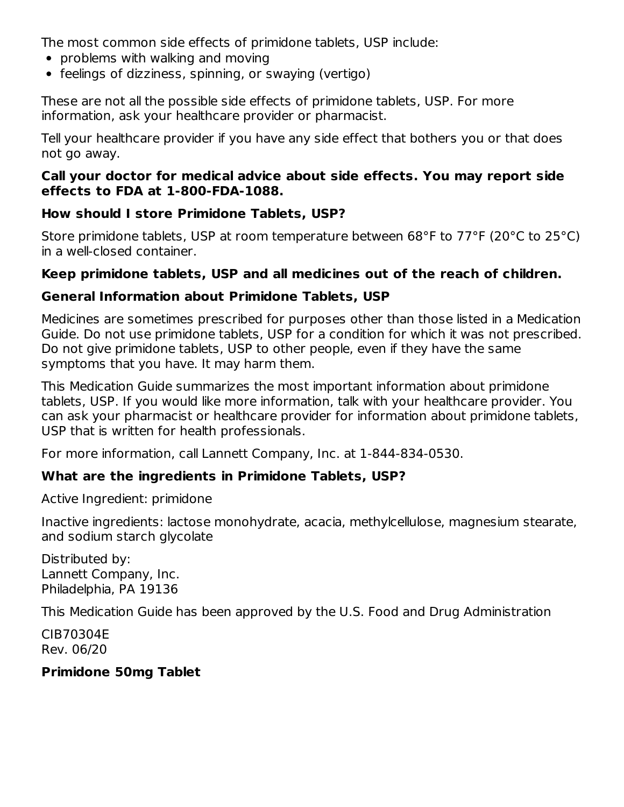The most common side effects of primidone tablets, USP include:

- problems with walking and moving
- feelings of dizziness, spinning, or swaying (vertigo)

These are not all the possible side effects of primidone tablets, USP. For more information, ask your healthcare provider or pharmacist.

Tell your healthcare provider if you have any side effect that bothers you or that does not go away.

#### **Call your doctor for medical advice about side effects. You may report side effects to FDA at 1-800-FDA-1088.**

# **How should I store Primidone Tablets, USP?**

Store primidone tablets, USP at room temperature between 68°F to 77°F (20°C to 25°C) in a well-closed container.

# **Keep primidone tablets, USP and all medicines out of the reach of children.**

# **General Information about Primidone Tablets, USP**

Medicines are sometimes prescribed for purposes other than those listed in a Medication Guide. Do not use primidone tablets, USP for a condition for which it was not prescribed. Do not give primidone tablets, USP to other people, even if they have the same symptoms that you have. It may harm them.

This Medication Guide summarizes the most important information about primidone tablets, USP. If you would like more information, talk with your healthcare provider. You can ask your pharmacist or healthcare provider for information about primidone tablets, USP that is written for health professionals.

For more information, call Lannett Company, Inc. at 1-844-834-0530.

# **What are the ingredients in Primidone Tablets, USP?**

Active Ingredient: primidone

Inactive ingredients: lactose monohydrate, acacia, methylcellulose, magnesium stearate, and sodium starch glycolate

Distributed by: Lannett Company, Inc. Philadelphia, PA 19136

This Medication Guide has been approved by the U.S. Food and Drug Administration

CIB70304E Rev. 06/20

# **Primidone 50mg Tablet**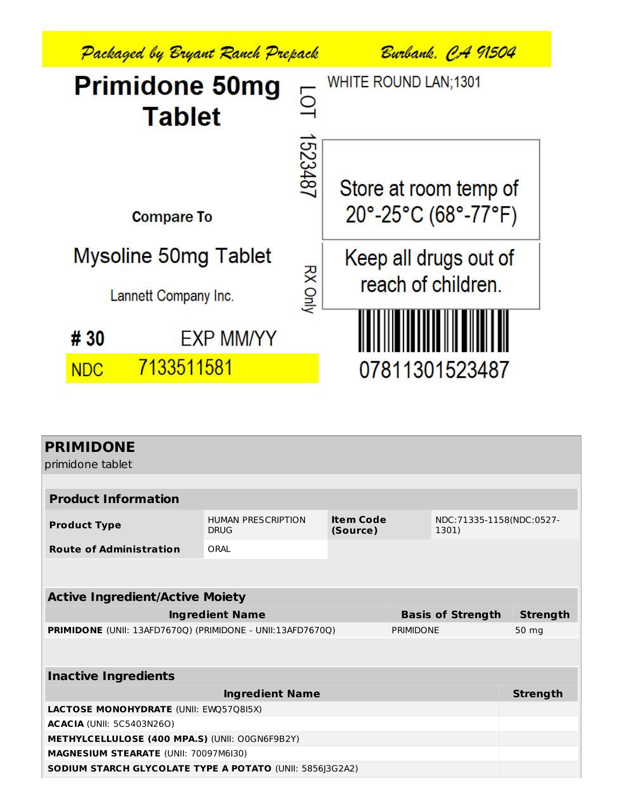

| <b>PRIMIDONE</b>                                                               |                                          |                              |  |                                   |  |  |
|--------------------------------------------------------------------------------|------------------------------------------|------------------------------|--|-----------------------------------|--|--|
| primidone tablet                                                               |                                          |                              |  |                                   |  |  |
|                                                                                |                                          |                              |  |                                   |  |  |
| <b>Product Information</b>                                                     |                                          |                              |  |                                   |  |  |
|                                                                                |                                          |                              |  |                                   |  |  |
| <b>Product Type</b>                                                            | <b>HUMAN PRESCRIPTION</b><br><b>DRUG</b> | <b>Item Code</b><br>(Source) |  | NDC:71335-1158(NDC:0527-<br>1301) |  |  |
| <b>Route of Administration</b>                                                 | ORAI                                     |                              |  |                                   |  |  |
|                                                                                |                                          |                              |  |                                   |  |  |
|                                                                                |                                          |                              |  |                                   |  |  |
| <b>Active Ingredient/Active Moiety</b>                                         |                                          |                              |  |                                   |  |  |
| <b>Ingredient Name</b><br><b>Basis of Strength</b><br><b>Strength</b>          |                                          |                              |  |                                   |  |  |
| PRIMIDONE (UNII: 13AFD7670Q) (PRIMIDONE - UNII:13AFD7670Q)<br><b>PRIMIDONE</b> |                                          |                              |  |                                   |  |  |
|                                                                                |                                          |                              |  |                                   |  |  |
|                                                                                |                                          |                              |  |                                   |  |  |
| <b>Inactive Ingredients</b>                                                    |                                          |                              |  |                                   |  |  |
| <b>Ingredient Name</b>                                                         |                                          |                              |  |                                   |  |  |
| <b>LACTOSE MONOHYDRATE (UNII: EWQ57Q8I5X)</b>                                  |                                          |                              |  |                                   |  |  |
| <b>ACACIA (UNII: 5C5403N26O)</b>                                               |                                          |                              |  |                                   |  |  |
| METHYLCELLULOSE (400 MPA.S) (UNII: O0GN6F9B2Y)                                 |                                          |                              |  |                                   |  |  |
| MAGNESIUM STEARATE (UNII: 70097M6I30)                                          |                                          |                              |  |                                   |  |  |
| <b>SODIUM STARCH GLYCOLATE TYPE A POTATO (UNII: 5856]3G2A2)</b>                |                                          |                              |  |                                   |  |  |
|                                                                                |                                          |                              |  |                                   |  |  |